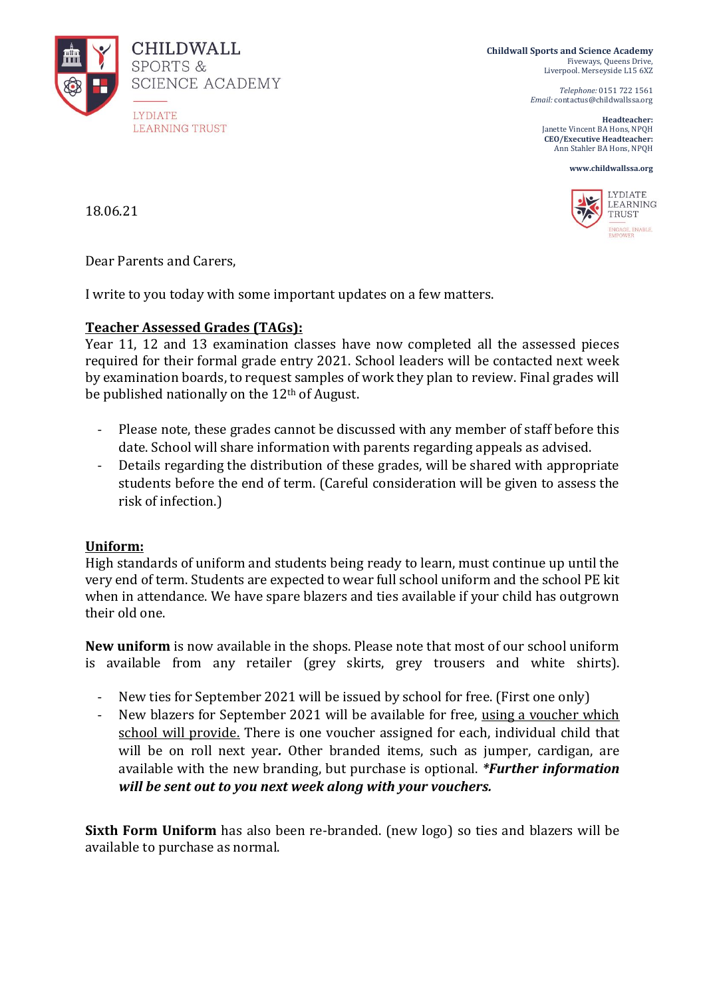

**Childwall Sports and Science Academy** Fiveways, Queens Drive, Liverpool. Merseyside L15 6XZ

> *Telephone:* 0151 722 1561 *Email:* contactus@childwallssa.org

**Headteacher:**  Janette Vincent BA Hons, NPQH **CEO/Executive Headteacher:**  Ann Stahler BA Hons, NPQH





18.06.21

Dear Parents and Carers,

I write to you today with some important updates on a few matters.

## **Teacher Assessed Grades (TAGs):**

Year 11, 12 and 13 examination classes have now completed all the assessed pieces required for their formal grade entry 2021. School leaders will be contacted next week by examination boards, to request samples of work they plan to review. Final grades will be published nationally on the 12th of August.

- Please note, these grades cannot be discussed with any member of staff before this date. School will share information with parents regarding appeals as advised.
- Details regarding the distribution of these grades, will be shared with appropriate students before the end of term. (Careful consideration will be given to assess the risk of infection.)

## **Uniform:**

High standards of uniform and students being ready to learn, must continue up until the very end of term. Students are expected to wear full school uniform and the school PE kit when in attendance. We have spare blazers and ties available if your child has outgrown their old one.

**New uniform** is now available in the shops. Please note that most of our school uniform is available from any retailer (grey skirts, grey trousers and white shirts).

- New ties for September 2021 will be issued by school for free. (First one only)
- New blazers for September 2021 will be available for free, using a voucher which school will provide. There is one voucher assigned for each, individual child that will be on roll next year*.* Other branded items, such as jumper, cardigan, are available with the new branding, but purchase is optional. *\*Further information will be sent out to you next week along with your vouchers.*

**Sixth Form Uniform** has also been re-branded. (new logo) so ties and blazers will be available to purchase as normal.